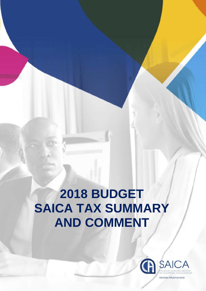# **2018 BUDGET SAICA TAX SUMMARY AND COMMENT**

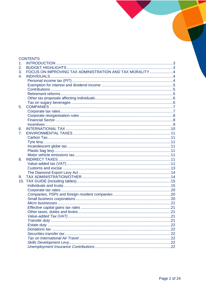|    | <b>CONTENTS</b>                                          |     |
|----|----------------------------------------------------------|-----|
| 1. |                                                          |     |
| 2. |                                                          |     |
| 3. | FOCUS ON IMPROVING TAX ADMINISTRATION AND TAX MORALITY 4 |     |
| 4. |                                                          |     |
|    |                                                          |     |
|    |                                                          |     |
|    |                                                          |     |
|    |                                                          |     |
|    |                                                          |     |
|    |                                                          |     |
| 5. |                                                          |     |
|    |                                                          |     |
|    |                                                          |     |
|    |                                                          |     |
|    |                                                          |     |
| 6. |                                                          |     |
| 7. |                                                          |     |
|    |                                                          |     |
|    |                                                          |     |
|    |                                                          |     |
|    |                                                          |     |
|    |                                                          |     |
| 8. |                                                          |     |
|    |                                                          |     |
|    |                                                          |     |
|    |                                                          |     |
| 9. |                                                          |     |
|    |                                                          |     |
|    |                                                          |     |
|    |                                                          |     |
|    |                                                          |     |
|    |                                                          |     |
|    |                                                          |     |
|    |                                                          |     |
|    |                                                          | .21 |
|    |                                                          |     |
|    |                                                          |     |
|    |                                                          |     |
|    |                                                          |     |
|    |                                                          |     |
|    |                                                          |     |
|    |                                                          |     |
|    |                                                          |     |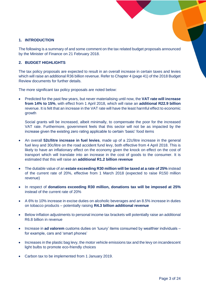# <span id="page-2-0"></span>**1. INTRODUCTION**

The following is a summary of and some comment on the tax related budget proposals announced by the Minister of Finance on 21 February 2018.

# <span id="page-2-1"></span>**2. BUDGET HIGHLIGHTS**

The tax policy proposals are expected to result in an overall increase in certain taxes and levies which will raise an additional R36 billion revenue. Refer to Chapter 4 (page 41) of the 2018 Budget Review documents for further details.

The more significant tax policy proposals are noted below:

 Predicted for the past few years, but never materialising until now, the **VAT rate will increase from 14% to 15%**, with effect from 1 April 2018, which will raise an **additional R22.9 billion** revenue. It is felt that an increase in the VAT rate will have the least harmful effect to economic growth

Social grants will be increased, albeit minimally, to compensate the poor for the increased VAT rate. Furthermore, government feels that this sector will not be as impacted by the increase given the existing zero rating applicable to certain 'basic' food items

- An overall **52c/litre increase in fuel levies**, made up of a 22c/litre increase in the general fuel levy and 30c/litre on the road accident fund levy, both effective from 4 April 2018. This is likely to have an inflationary effect on the economy given the knock on effect on the cost of transport which will translate into an increase in the cost of goods to the consumer. It is estimated that this will raise an **additional R1.2 billion revenue**
- The dutiable value of an **estate exceeding R30 million will be taxed at a rate of 25%** instead of the current rate of 20%, effective from 1 March 2018 (expected to raise R150 million revenue)
- In respect of **donations exceeding R30 million, donations tax will be imposed at 25%** instead of the current rate of 20%
- A 6% to 10% increase in excise duties on alcoholic beverages and an 8.5% increase in duties on tobacco products – potentially raising **R4.3 billion additional revenue**
- Below inflation adjustments to personal income tax brackets will potentially raise an additional R6.8 billion in revenue
- Increase in **ad valorem** customs duties on 'luxury' items consumed by wealthier individuals for example, cars and 'smart phones'
- Increases in the plastic bag levy, the motor vehicle emissions tax and the levy on incandescent light bulbs to promote eco-friendly choices
- Carbon tax to be implemented from 1 January 2019.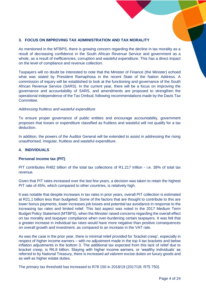# <span id="page-3-0"></span>**3. FOCUS ON IMPROVING TAX ADMINISTRATION AND TAX MORALITY**

As mentioned in the MTBPS, there is growing concern regarding the decline in tax morality as a result of decreasing confidence in the South African Revenue Service and government as a whole, as a result of inefficiencies, corruption and wasteful expenditure. This has a direct impact on the level of compliance and revenue collection.

Taxpayers will no doubt be interested to note that the Minister of Finance (the Minister) echoed what was stated by President Ramaphosa in the recent State of the Nation Address. A commission of inquiry will be established to look at the functioning and governance of the South African Revenue Service (SARS). In the current year, there will be a focus on improving the governance and accountability of SARS, and amendments are proposed to strengthen the operational independence of the Tax Ombud, following recommendations made by the Davis Tax Committee.

# *Addressing fruitless and wasteful expenditure*

To ensure proper governance of public entities and encourage accountability, government proposes that losses or expenditure classified as fruitless and wasteful will not qualify for a tax deduction.

In addition, the powers of the Auditor General will be extended to assist in addressing the rising unauthorised, irregular, fruitless and wasteful expenditure.

## <span id="page-3-1"></span>**4. INDIVIDUALS**

# <span id="page-3-2"></span>**Personal income tax (PIT)**

PIT contributes R482 billion of the total tax collections of R1.217 trillion - i.e. 38% of total tax revenue.

Given that PIT rates increased over the last few years, a decision was taken to retain the highest PIT rate of 45%, which compared to other countries, is relatively high.

It was notable that despite increases in tax rates in prior years, overall PIT collection is estimated at R21.1 billion less than budgeted. Some of the factors that are thought to contribute to this are lower bonus payments, lower increases job losses and potential tax avoidance in response to the increasing tax rates and limited relief. This last aspect was noted in the 2017 Medium Term Budget Policy Statement (MTBPS), when the Minister raised concerns regarding the overall effect on tax morality and taxpayer compliance when over-burdening certain taxpayers. It was felt that a greater increase in individual tax rates would have more negative than positive consequences on overall growth and investment, as compared to an increase in the VAT rate.

As was the case in the prior year, there is minimal relief provided for 'bracket creep', especially in respect of higher income earners – with no adjustment made in the top 4 tax brackets and below inflation adjustments in the bottom 3. The additional tax expected from this lack of relief due to bracket creep, is R6.8 billion. Staying with higher income earners, or 'wealthy individuals' as referred to by National Treasury, there is increased *ad valorem* excise duties on luxury goods and as well as higher estate duties.

The primary tax threshold has increased to R78 150 in 2018/19 (2017/18: R75 750).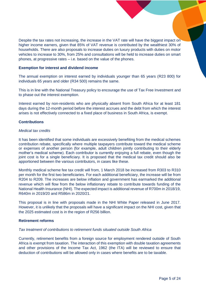Despite the tax rates not increasing, the increase in the VAT rate will have the biggest impact on higher income earners, given that 85% of VAT revenue is contributed by the wealthiest 30% of households. There are also proposals to increase duties on luxury products with duties on motor vehicles to increase to 30%, from 25% and consultations will be held to increase duties on smart phones, at progressive rates – i.e. based on the value of the phones.

## <span id="page-4-0"></span>**Exemption for interest and dividend income**

The annual exemption on interest earned by individuals younger than 65 years (R23 800) for individuals 65 years and older (R34 500) remains the same.

This is in line with the National Treasury policy to encourage the use of Tax Free Investment and to phase out the interest exemption.

Interest earned by non-residents who are physically absent from South Africa for at least 181 days during the 12-month period before the interest accrues and the debt from which the interest arises is not effectively connected to a fixed place of business in South Africa, is exempt.

# <span id="page-4-1"></span>**Contributions**

## *Medical tax credits*

It has been identified that some individuals are excessively benefiting from the medical schemes contribution rebate, specifically where multiple taxpayers contribute toward the medical scheme or expenses of another person (for example, adult children jointly contributing to their elderly mother's medical scheme). Each contributor is currently enjoying a full rebate, even though the joint cost is for a single beneficiary. It is proposed that the medical tax credit should also be apportioned between the various contributors, in cases like these.

Monthly medical scheme fee tax credit will from, 1 March 2018 be increased from R303 to R310 per month for the first two beneficiaries. For each additional beneficiary, the increase will be from R204 to R209. The increases are below inflation and government has earmarked the additional revenue which will flow from the below inflationary rebate to contribute towards funding of the National Health Insurance (NHI). The expected impact is additional revenue of R700m in 2018/19, R640m in 2019/20 and R586m in 2020/21.

This proposal is in line with proposals made in the NHI White Paper released in June 2017. However, it is unlikely that the proposals will have a significant impact on the NHI cost, given that the 2025 estimated cost is in the region of R256 billion.

#### <span id="page-4-2"></span>**Retirement reforms**

## *Tax treatment of contributions to retirement funds situated outside South Africa*

Currently, retirement benefits from a foreign source for employment rendered outside of South Africa is exempt from taxation. The interaction of this exemption with double taxation agreements and other provisions of the Income Tax Act, 1962 (the ITA) will be reviewed to ensure that deduction of contributions will be allowed only in cases where benefits are to be taxable.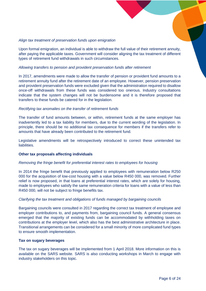# *Align tax treatment of preservation funds upon emigration*

Upon formal emigration, an individual is able to withdraw the full value of their retirement annuity, after paying the applicable taxes. Government will consider aligning the tax treatment of different types of retirement fund withdrawals in such circumstances.

# *Allowing transfers to pension and provident preservation funds after retirement*

In 2017, amendments were made to allow the transfer of pension or provident fund amounts to a retirement annuity fund after the retirement date of an employee. However, pension preservation and provident preservation funds were excluded given that the administration required to disallow once-off withdrawals from these funds was considered too onerous. Industry consultations indicate that the system changes will not be burdensome and it is therefore proposed that transfers to these funds be catered for in the legislation.

# *Rectifying tax anomalies on the transfer of retirement funds*

The transfer of fund amounts between, or within, retirement funds at the same employer has inadvertently led to a tax liability for members, due to the current wording of the legislation. In principle, there should be no additional tax consequence for members if the transfers refer to amounts that have already been contributed to the retirement fund.

Legislative amendments will be retrospectively introduced to correct these unintended tax liabilities.

## <span id="page-5-0"></span>**Other tax proposals affecting individuals**

## *Removing the fringe benefit for preferential interest rates to employees for housing*

In 2014 the fringe benefit that previously applied to employees with remuneration below R250 000 for the acquisition of low-cost housing with a value below R450 000, was removed. Further relief is now proposed, in that loans at preferential interest rates, which are solely for housing, made to employees who satisfy the same remuneration criteria for loans with a value of less than R450 000, will not be subject to fringe benefits tax.

## *Clarifying the tax treatment and obligations of funds managed by bargaining councils*

Bargaining councils were consulted in 2017 regarding the correct tax treatment of employee and employer contributions to, and payments from, bargaining council funds. A general consensus emerged that the majority of existing funds can be accommodated by withholding taxes on contributions at the employer level, which also has the best administrative architecture in place. Transitional arrangements can be considered for a small minority of more complicated fund types to ensure smooth implementation.

## <span id="page-5-1"></span>**Tax on sugary beverages**

The tax on sugary beverages will be implemented from 1 April 2018. More information on this is available on the SARS website. SARS is also conducting workshops in March to engage with industry stakeholders on this topic.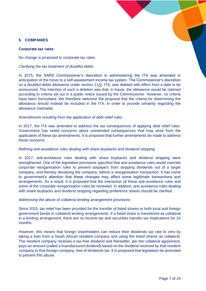# <span id="page-6-0"></span>**5. COMPANIES**

# <span id="page-6-1"></span>**Corporate tax rates**

No change is proposed to corporate tax rates.

# *Clarifying the tax treatment of doubtful debts*

In 2015, the SARS Commissioner's discretion in administering the ITA was amended in anticipation of the move to a self-assessment income tax system. The Commissioner's discretion on a doubtful debts allowance under section 11(j), ITA, was deleted with effect from a date to be announced. The intention of such a deletion was that, in future, the allowance would be claimed according to criteria set out in a public notice issued by the Commissioner. However, no criteria have been formulated. We therefore welcome the proposal that the criteria for determining the allowance should instead be included in the ITA, in order to provide certainty regarding the allowance claimable.

# *Amendments resulting from the application of debt relief rules*

In 2017, the ITA was amended to address the tax consequences of applying debt relief rules. Government has noted concerns about unintended consequences that may arise from the application of these tax amendments. It is proposed that further amendments be made to address these concerns.

## *Refining anti-avoidance rules dealing with share buybacks and dividend stripping*

In 2017, anti-avoidance rules dealing with share buybacks and dividend stripping were strengthened. One of the legislative provisions specified that anti-avoidance rules would override corporate reorganisation rules to prevent taxpayers from stripping dividends out of a target company, and thereby devaluing the company, before a reorganisation transaction. It has come to government's attention that these changes may affect some legitimate transactions and arrangements. As a result, it is proposed that the interaction of these anti-avoidance rules and some of the corporate reorganisation rules be reviewed. In addition, anti-avoidance rules dealing with share buybacks and dividend stripping regarding preference shares should be clarified.

## *Addressing the abuse of collateral lending arrangement provisions*

Since 2015, tax relief has been provided for the transfer of listed shares or both local and foreign government bonds in collateral lending arrangements. If a listed share is transferred as collateral in a lending arrangement, there are no income tax and securities transfer tax implications for 24 months.

However, this means that foreign shareholders can reduce their dividends tax rate to zero by taking a loan from a South African resident company and using the listed shares as collateral. The resident company receives a tax-free dividend and thereafter, per the collateral agreement, pays an amount (called a manufactured dividend) based on the dividend received by that resident company to that foreign company, free of dividends tax. It is proposed that legislation be amended to prevent this abuse.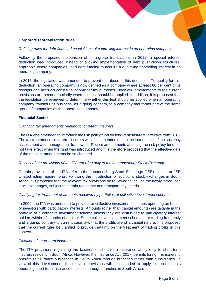# <span id="page-7-0"></span>**Corporate reorganisation rules**

## *Refining rules for debt-financed acquisitions of controlling interest in an operating company*

Following the proposed suspension of intra-group transactions in 2012, a special interest deduction was introduced instead of allowing implementation of debt push-down structures, applicable where companies used debt funding to acquire a qualifying controlling interest in an operating company.

In 2015, the legislation was amended to prevent the abuse of this deduction. To qualify for this deduction, an operating company is now defined as a company where at least 80 per cent of its receipts and accruals constitute income for tax purposes. However, amendments to the current provisions are needed to clarify when this test should be applied. In addition, it is proposed that the legislation be reviewed to determine whether this test should be applied when an operating company transfers its business, as a going concern, to a company that forms part of the same group of companies as that operating company.

# <span id="page-7-1"></span>**Financial Sector**

## *Clarifying tax amendments relating to long-term insurers*

The ITA was amended to introduce the risk policy fund for long-term insurers, effective from 2016. The tax treatment of long-term insurers was also amended due to the introduction of the solvency assessment and management framework. Recent amendments affecting the risk policy fund did not take effect when the fund was introduced and it is therefore proposed that the effective date of the relevant amendments be so changed.

## *Review of the provisions of the ITA referring only to the Johannesburg Stock Exchange*

Certain provisions of the ITA refer to the Johannesburg Stock Exchange (JSE) Limited or JSE Limited listing requirements. Following the introduction of additional stock exchanges in South Africa, it is proposed that the relevant tax provisions be reviewed to include the newly introduced stock exchanges, subject to certain regulatory and transparency criteria.

#### *Clarifying tax treatment of amounts received by portfolios of collective investment schemes*

In 2009, the ITA was amended to provide for collective investment schemes operating on behalf of investors with participatory interests. Amounts (other than capital amounts) are taxable in the portfolio of a collective investment scheme unless they are distributed to participatory interest holders within 12 months of accrual. Some collective investment schemes are trading frequently and arguing, contrary to current case law, that the profits are of a capital nature. It is proposed that the current rules be clarified to provide certainty on the treatment of trading profits in this context.

#### *Taxation of short-term insurers*

The ITA provisions regulating the taxation of short-term insurance apply only to short-term insurers resident in South Africa. However, the Insurance Act (2017) permits foreign reinsurers to operate reinsurance businesses in South Africa through branches rather than subsidiaries. In view of this development, the relevant provisions will be extended to apply to non-residents operating short term insurance business through branches in South Africa.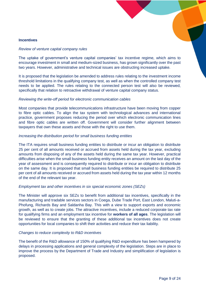# <span id="page-8-0"></span>**Incentives**

## *Review of venture capital company rules*

The uptake of government's venture capital companies' tax incentive regime, which aims to encourage investment in small and medium-sized business, has grown significantly over the past two years. However, administrative and technical issues are obstructing increased uptake.

It is proposed that the legislation be amended to address rules relating to the investment income threshold limitations in the qualifying company test, as well as when the controlled company test needs to be applied. The rules relating to the connected person test will also be reviewed, specifically that relation to retroactive withdrawal of venture capital company status.

## *Reviewing the write-off period for electronic communication cables*

Most companies that provide telecommunications infrastructure have been moving from copper to fibre optic cables. To align the tax system with technological advances and international practice, government proposes reducing the period over which electronic communication lines and fibre optic cables are written off. Government will consider further alignment between taxpayers that own these assets and those with the right to use them.

## *Increasing the distribution period for small business funding entities*

The ITA requires small business funding entities to distribute or incur an obligation to distribute 25 per cent of all amounts received or accrued from assets held during the tax year, excluding amounts from disposing of any of the assets held during the same tax year. However, practical difficulties arise when the small business funding entity receives an amount on the last day of the year of assessment and is consequently required to distribute or incur an obligation to distribute on the same day. It is proposed that small business funding entities be required to distribute 25 per cent of all amounts received or accrued from assets held during the tax year within 12 months of the end of the relevant tax year.

# *Employment tax and other incentives in six special economic zones (SEZs)*

The Minister will approve six SEZs to benefit from additional tax incentives, specifically in the manufacturing and tradable services sectors in Coega, Dube Trade Port, East London, Maluti-a-Phofung, Richards Bay and Saldanha Bay. This with a view to support exports and economic growth, as well as to create jobs. The attractive incentives, include a reduced corporate tax rate for qualifying firms and an employment tax incentive for **workers of all ages**. The legislation will be reviewed to ensure that the granting of these additional tax incentives does not create opportunities for local companies to shift their activities and reduce their tax liability.

## *Changes to reduce complexity to R&D incentives*

The benefit of the R&D allowance of 150% of qualifying R&D expenditure has been hampered by delays in processing applications and general complexity of the legislation. Steps are in place to improve the process by the Department of Trade and Industry and simplification of legislation is proposed.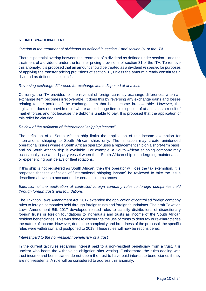# <span id="page-9-0"></span>**6. INTERNATIONAL TAX**

# *Overlap in the treatment of dividends as defined in section 1 and section 31 of the ITA*

There is potential overlap between the treatment of a dividend as defined under section 1 and the treatment of a dividend under the transfer pricing provisions of section 31 of the ITA. To remove this anomaly, it is proposed that an amount should be treated as a dividend *in specie*, for purposes of applying the transfer pricing provisions of section 31, unless the amount already constitutes a dividend as defined in section 1.

# *Reversing exchange difference for exchange items disposed of at a loss*

Currently, the ITA provides for the reversal of foreign currency exchange differences when an exchange item becomes irrecoverable. It does this by reversing any exchange gains and losses relating to the portion of the exchange item that has become irrecoverable. However, the legislation does not provide relief where an exchange item is disposed of at a loss as a result of market forces and not because the debtor is unable to pay. It is proposed that the application of this relief be clarified.

# *Review of the definition of "international shipping income"*

The definition of a South African ship limits the application of the income exemption for international shipping to South African ships only. The limitation may create unintended operational issues where a South African operator uses a replacement ship on a short-term basis, and no South African ship is available. For example, a South African shipping company may occasionally use a third-party vessel when their South African ship is undergoing maintenance, or experiencing port delays or fleet rotations.

If this ship is not registered as South African, then the operator will lose the tax exemption. It is proposed that the definition of "international shipping income" be reviewed to take the issue described above into account under certain circumstances.

# *Extension of the application of controlled foreign company rules to foreign companies held through foreign trusts and foundations*

The Taxation Laws Amendment Act, 2017 extended the application of controlled foreign company rules to foreign companies held through foreign trusts and foreign foundations. The draft Taxation Laws Amendment Bill, 2017 developed related rules to classify distributions of discretionary foreign trusts or foreign foundations to individuals and trusts as income of the South African resident beneficiaries. This was done to discourage the use of trusts to defer tax or re-characterise the nature of income. However, due to the complexity and broadness of the proposal, the specific rules were withdrawn and postponed to 2018. These rules will now be reconsidered.

## *Interest paid to the non-resident beneficiary of a trust*

In the current tax rules regarding interest paid to a non-resident beneficiary from a trust, it is unclear who bears the withholding obligation after vesting. Furthermore, the rules dealing with trust income and beneficiaries do not deem the trust to have paid interest to beneficiaries if they are non-residents. A rule will be considered to address this anomaly.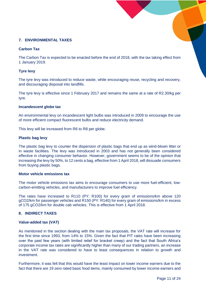# <span id="page-10-0"></span>**7. ENVIRONMENTAL TAXES**

# <span id="page-10-1"></span>**Carbon Tax**

The Carbon Tax is expected to be enacted before the end of 2018, with the tax taking effect from 1 January 2019.

# <span id="page-10-2"></span>**Tyre levy**

The tyre levy was introduced to reduce waste, while encouraging reuse, recycling and recovery, and discouraging disposal into landfills.

The tyre levy is effective since 1 February 2017 and remains the same at a rate of R2.30/kg per tyre.

## <span id="page-10-3"></span>**Incandescent globe tax**

An environmental levy on incandescent light bulbs was introduced in 2009 to encourage the use of more efficient compact fluorescent bulbs and reduce electricity demand.

This levy will be increased from R6 to R8 per globe.

# <span id="page-10-4"></span>**Plastic bag levy**

The plastic bag levy to counter the dispersion of plastic bags that end up as wind-blown litter or in waste facilities. The levy was introduced in 2003 and has not generally been considered effective in changing consumer behavior. However, government seems to be of the opinion that increasing the levy by 50%, to 12 cents a bag, effective from 1 April 2018, will dissuade consumers from buying plastic bags.

## <span id="page-10-5"></span>**Motor vehicle emissions tax**

The motor vehicle emissions tax aims to encourage consumers to use more fuel-efficient, lowcarbon-emitting vehicles, and manufacturers to improve fuel efficiency.

The rates have increased to R110 (PY: R100) for every gram of emissions/km above 120 gCO2/km for passenger vehicles and R150 (PY: R140) for every gram of emissions/km in excess of 175 gCO2/km for double cab vehicles. This is effective from 1 April 2018.

# <span id="page-10-6"></span>**8. INDIRECT TAXES**

## <span id="page-10-7"></span>**Value-added tax (VAT)**

As mentioned in the section dealing with the main tax proposals, the VAT rate will increase for the first time since 1993, from 14% to 15%. Given the fact that PIT rates have been increasing over the past few years (with limited relief for bracket creep) and the fact that South Africa's corporate income tax rates are significantly higher than many of our trading partners, an increase in the VAT rate was considered to have to least consequences in relation to growth and investment.

Furthermore, it was felt that this would have the least impact on lower income earners due to the fact that there are 19 zero rated basic food items, mainly consumed by lower income earners and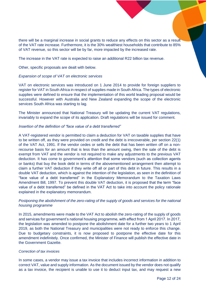there will be a marginal increase in social grants to reduce any effects on this sector as a result of the VAT rate increase. Furthermore, it is the 30% wealthiest households that contribute to 85% of VAT revenue, so this sector will be by far, more impacted by the increased rate.

The increase in the VAT rate is expected to raise an additional R22 billion tax revenue.

Other, specific proposals are dealt with below.

# *Expansion of scope of VAT on electronic services*

VAT on electronic services was introduced on 1 June 2014 to provide for foreign suppliers to register for VAT in South Africa in respect of supplies made in South Africa. The types of electronic supplies were defined to ensure that the implementation of this world leading proposal would be successful. However with Australia and New Zealand expanding the scope of the electronic services South Africa was starting to lag.

The Minister announced that National Treasury will be updating the current VAT regulations, invariably to expand the scope of its application. Draft regulations will be issued for comment.

# *Insertion of the definition of "face value of a debt transferred"*

A VAT-registered vendor is permitted to claim a deduction for VAT on taxable supplies that have to be written off, as they were provided on credit and the debt is irrecoverable, per section 22(1) of the VAT Act, 1991. If the vendor cedes or sells the debt that has been written off on a nonrecourse basis for an amount that is less than the amount owing, then the sale of the debt is exempt from VAT and the vendor is not required to make any adjustments to the previous VAT deduction. It has come to government's attention that some vendors (such as collection agents or banks) that buy the book debt in terms of the abovementioned arrangement then attempt to claim a further VAT deduction if they write off all or part of this debt in future. This results in a double VAT deduction, which is against the intention of the legislation, as seen in the definition of "face value of a debt transferred" in the Explanatory Memorandum to the Taxation Laws Amendment Bill, 1997. To prevent this double VAT deduction, it is proposed that the term "face value of a debt transferred" be defined in the VAT Act to take into account the policy rationale explained in the explanatory memorandum.

# *Postponing the abolishment of the zero-rating of the supply of goods and services for the national housing programme*

In 2015, amendments were made to the VAT Act to abolish the zero-rating of the supply of goods and services for government's national housing programme, with effect from 1 April 2017. In 2017, the legislation was amended to postpone the abolishment date for a further two years to 1 April 2019, as both the National Treasury and municipalities were not ready to enforce this change. Due to budgetary constraints, it is now proposed to postpone the effective date for this amendment indefinitely. Once confirmed, the Minister of Finance will publish the effective date in the Government Gazette.

## *Correction of tax invoices*

In some cases, a vendor may issue a tax invoice that includes incorrect information in addition to correct VAT, value and supply information. As the document issued by the vendor does not qualify as a tax invoice, the recipient is unable to use it to deduct input tax, and may request a new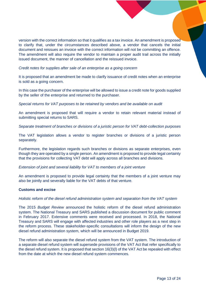version with the correct information so that it qualifies as a tax invoice. An amendment is proposed to clarify that, under the circumstances described above, a vendor that cancels the initial document and reissues an invoice with the correct information will not be committing an offence. The amendment will also require the vendor to maintain a proper audit trail across the initially issued document, the manner of cancellation and the reissued invoice.

*Credit notes for supplies after sale of an enterprise as a going concern*

It is proposed that an amendment be made to clarify issuance of credit notes when an enterprise is sold as a going concern.

In this case the purchaser of the enterprise will be allowed to issue a credit note for goods supplied by the seller of the enterprise and returned to the purchaser.

*Special returns for VAT purposes to be retained by vendors and be available on audit*

An amendment is proposed that will require a vendor to retain relevant material instead of submitting special returns to SARS.

*Separate treatment of branches or divisions of a juristic person for VAT debt-collection purposes*

The VAT legislation allows a vendor to register branches or divisions of a juristic person separately.

Furthermore, the legislation regards such branches or divisions as separate enterprises, even though they are operated by a single person. An amendment is proposed to provide legal certainty that the provisions for collecting VAT debt will apply across all branches and divisions.

# *Extension of joint and several liability for VAT to members of a joint venture*

An amendment is proposed to provide legal certainty that the members of a joint venture may also be jointly and severally liable for the VAT debts of that venture.

## <span id="page-12-0"></span>**Customs and excise**

## *Holistic reform of the diesel refund administration system and separation from the VAT system*

The 2015 *Budget Review* announced the holistic reform of the diesel refund administration system. The National Treasury and SARS published a discussion document for public comment in February 2017. Extensive comments were received and processed. In 2018, the National Treasury and SARS will engage with affected industries and other role players as a next step in the reform process. These stakeholder-specific consultations will inform the design of the new diesel refund administration system, which will be announced in Budget 2019.

The reform will also separate the diesel refund system from the VAT system. The introduction of a separate diesel refund system will supersede provisions of the VAT Act that refer specifically to the diesel refund system. It is proposed that section 16(3)(l) of the VAT Act be repealed with effect from the date at which the new diesel refund system commences.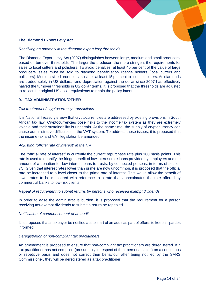# <span id="page-13-0"></span>**The Diamond Export Levy Act**

# *Rectifying an anomaly in the diamond export levy thresholds*

The Diamond Export Levy Act (2007) distinguishes between large, medium and small producers, based on turnover thresholds. The larger the producer, the more stringent the requirements for sales to local cutters and polishers. To avoid penalties, at least 40 per cent of the value of large producers' sales must be sold to diamond beneficiation licence holders (local cutters and polishers). Medium-sized producers must sell at least 15 per cent to licence holders. As diamonds are traded solely in US dollars, rand depreciation against the dollar since 2007 has effectively halved the turnover thresholds in US dollar terms. It is proposed that the thresholds are adjusted to reflect the original US dollar equivalents to retain the policy intent.

# <span id="page-13-1"></span>**9. TAX ADMINISTRATION/OTHER**

## *Tax treatment of cryptocurrency transactions*

It is National Treasury's view that cryptocurrencies are addressed by existing provisions in South African tax law. Cryptocurrencies pose risks to the income tax system as they are extremely volatile and their sustainability is uncertain. At the same time, the supply of cryptocurrency can cause administrative difficulties in the VAT system. To address these issues, it is proposed that the income tax and VAT legislation be amended.

## *Adjusting "official rate of interest" in the ITA*

The "official rate of interest" is currently the current repurchase rate plus 100 basis points. This rate is used to quantify the fringe benefit of low interest rate loans provided by employers and the amount of a donation for low interest loans to trusts, by connected persons, in terms of section 7C. Given that interest rates lower than prime are now uncommon, it is proposed that the official rate be increased to a level closer to the prime rate of interest. This would allow the benefit of lower rates to be measured with reference to a rate that approximates the rate offered by commercial banks to low-risk clients.

## *Repeal of requirement to submit returns by persons who received exempt dividends*

In order to ease the administrative burden, it is proposed that the requirement for a person receiving tax-exempt dividends to submit a return be repealed.

## *Notification of commencement of an audit*

It is proposed that a taxpayer be notified at the start of an audit as part of efforts to keep all parties informed.

## *Deregistration of non-compliant tax practitioners*

An amendment is proposed to ensure that non-compliant tax practitioners are deregistered. If a tax practitioner has not complied (presumably in respect of their personal taxes) on a continuous or repetitive basis and does not correct their behaviour after being notified by the SARS Commissioner, they will be deregistered as a tax practitioner.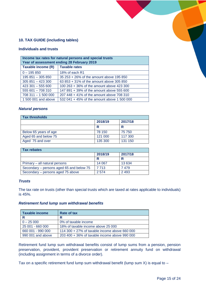# <span id="page-14-0"></span>**10. TAX GUIDE (including tables)**

# <span id="page-14-1"></span>**Individuals and trusts**

| Income tax rates for natural persons and special trusts<br>Year of assessment ending 28 February 2019 |                                           |  |  |
|-------------------------------------------------------------------------------------------------------|-------------------------------------------|--|--|
| <b>Taxable rates</b><br>Taxable income (R)                                                            |                                           |  |  |
| $0 - 195850$                                                                                          | 18% of each R1                            |  |  |
| 195 851 - 305 850                                                                                     | 35 253 + 26% of the amount above 195 850  |  |  |
| $305851 - 423300$                                                                                     | 63 853 + 31% of the amount above 305 850  |  |  |
| $423$ 301 - 555 600                                                                                   | 100 263 + 36% of the amount above 423 300 |  |  |
| 555 601 - 708 310                                                                                     | 147 891 + 39% of the amount above 555 600 |  |  |
| 708 311 - 1 500 000<br>207 448 + 41% of the amount above 708 310                                      |                                           |  |  |
| 532 041 + 45% of the amount above 1 500 000<br>1 500 001 and above                                    |                                           |  |  |

# *Natural persons*

| <b>Tax thresholds</b> |         |         |  |
|-----------------------|---------|---------|--|
| 2018/19<br>2017/18    |         |         |  |
|                       |         | R       |  |
| Below 65 years of age | 78 150  | 75 750  |  |
| Aged 65 and below 75  | 121 000 | 117 300 |  |
| Aged 75 and over      | 135 300 | 131 150 |  |

| <b>Tax rebates</b>                       |         |         |  |
|------------------------------------------|---------|---------|--|
|                                          | 2018/19 | 2017/18 |  |
|                                          | R       | R       |  |
| Primary – all natural persons            | 14 0 67 | 13 634  |  |
| Secondary – persons aged 65 and below 75 | 7 7 1 3 | 7479    |  |
| Secondary – persons aged 75 above        | 2 5 7 4 | 2 4 9 3 |  |

# *Trusts*

The tax rate on trusts (other than special trusts which are taxed at rates applicable to individuals) is 45%.

# *Retirement fund lump sum withdrawal benefits*

| <b>Taxable income</b> | Rate of tax                                     |
|-----------------------|-------------------------------------------------|
| R                     | R                                               |
| $0 - 25000$           | 0% of taxable income                            |
| 25 001 - 660 000      | 18% of taxable income above 25 000              |
| 660 001 - 990 000     | 114 300 $+$ 27% of taxable income above 660 000 |
| 990 001 and above     | 203 400 + 36% of taxable income above 990 000   |

Retirement fund lump sum withdrawal benefits consist of lump sums from a pension, pension preservation, provident, provident preservation or retirement annuity fund on withdrawal (including assignment in terms of a divorce order).

Tax on a specific retirement fund lump sum withdrawal benefit (lump sum  $X$ ) is equal to  $-$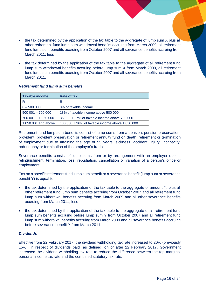- the tax determined by the application of the tax table to the aggregate of lump sum X plus all other retirement fund lump sum withdrawal benefits accruing from March 2009, all retirement fund lump sum benefits accruing from October 2007 and all severance benefits accruing from March 2011; less
- the tax determined by the application of the tax table to the aggregate of all retirement fund lump sum withdrawal benefits accruing before lump sum X from March 2009, all retirement fund lump sum benefits accruing from October 2007 and all severance benefits accruing from March 2011.

# *Retirement fund lump sum benefits*

| <b>Taxable income</b> | Rate of tax                                     |
|-----------------------|-------------------------------------------------|
| R                     | R                                               |
| $0 - 500000$          | 0% of taxable income                            |
| 500 001 - 700 000     | 18% of taxable income above 500 000             |
| 700 001 - 1 050 000   | 36 000 + 27% of taxable income above 700 000    |
| 1 050 001 and above   | 130 500 + 36% of taxable income above 1 050 000 |

Retirement fund lump sum benefits consist of lump sums from a pension, pension preservation, provident, provident preservation or retirement annuity fund on death, retirement or termination of employment due to attaining the age of 55 years, sickness, accident, injury, incapacity, redundancy or termination of the employer's trade.

Severance benefits consist of lump sums from or by arrangement with an employer due to relinquishment, termination, loss, repudiation, cancellation or variation of a person's office or employment.

Tax on a specific retirement fund lump sum benefit or a severance benefit (lump sum or severance benefit Y) is equal to  $-$ 

- the tax determined by the application of the tax table to the aggregate of amount Y, plus all other retirement fund lump sum benefits accruing from October 2007 and all retirement fund lump sum withdrawal benefits accruing from March 2009 and all other severance benefits accruing from March 2011; less
- the tax determined by the application of the tax table to the aggregate of all retirement fund lump sum benefits accruing before lump sum Y from October 2007 and all retirement fund lump sum withdrawal benefits accruing from March 2009 and all severance benefits accruing before severance benefit Y from March 2011.

## *Dividends*

Effective from 22 February 2017, the dividend withholding tax rate increased to 20% (previously 15%), in respect of dividends paid (as defined) on or after 22 February 2017. Government increased the dividend withholding tax rate to reduce the difference between the top marginal personal income tax rate and the combined statutory tax rate.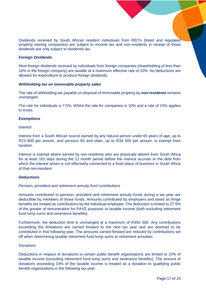Dividends received by South African resident individuals from REITs (listed and regulated property owning companies) are subject to income tax and non-residents in receipt of those dividends are only subject to dividends tax.

## *Foreign Dividends*

Most foreign dividends received by individuals from foreign companies (shareholding of less than 10% in the foreign company) are taxable at a maximum effective rate of 20%. No deductions are allowed for expenditure to produce foreign dividends.

## *Withholding tax on immovable property sales*

The rate of withholding tax payable on disposal of immovable property by **non-residents** remains unchanged.

The rate for individuals is 7.5%. Whilst the rate for companies is 10% and a rate of 15% applies to trusts.

# *Exemptions*

## *Interest*

Interest from a South African source earned by any natural person under 65 years of age, up to R23 800 per annum, and persons 65 and older, up to R34 500 per annum, is exempt from taxation.

Interest is exempt where earned by non-residents who are physically absent from South Africa for at least 181 days during the 12 month period before the interest accrues or the debt from which the interest arises is not effectively connected to a fixed place of business in South Africa of that non-resident.

## *Deductions*

## *Pension, provident and retirement annuity fund contributions*

Amounts contributed to pension, provident and retirement annuity funds during a tax year are deductible by members of those funds. Amounts contributed by employers and taxed as fringe benefits are treated as contributions by the individual employee. The deduction is limited to 27.5% of the greater of remuneration for PAYE purposes or taxable income (both excluding retirement fund lump sums and severance benefits).

Furthermore, the deduction limit is unchanged at a maximum of R350 000. Any contributions exceeding the limitations are carried forward to the next tax year and are deemed to be contributed in that following year. The amounts carried forward are reduced by contributions set off when determining taxable retirement fund lump sums or retirement annuities.

## *Donations*

Deductions in respect of donations to certain public benefit organisations are limited to 10% of taxable income (excluding retirement fund lump sums and severance benefits). The amount of donations exceeding 10% of the taxable income is treated as a donation to qualifying public benefit organisations in the following tax year.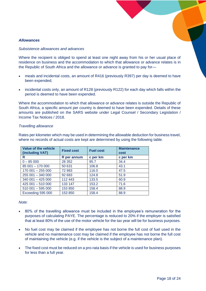# *Allowances*

## *Subsistence allowances and advances*

Where the recipient is obliged to spend at least one night away from his or her usual place of residence on business and the accommodation to which that allowance or advance relates is in the Republic of South Africa and the allowance or advance is granted to pay for—

- meals and incidental costs, an amount of R416 (previously R397) per day is deemed to have been expended;
- incidental costs only, an amount of R128 (previously R122) for each day which falls within the period is deemed to have been expended.

Where the accommodation to which that allowance or advance relates is outside the Republic of South Africa, a specific amount per country is deemed to have been expended. Details of these amounts are published on the SARS website under Legal Counsel / Secondary Legislation / Income Tax Notices / 2018.

## *Travelling allowance*

Rates per kilometer which may be used in determining the allowable deduction for business travel, where no records of actual costs are kept are determined by using the following table.

| Value of the vehicle<br>(including VAT) | <b>Fixed cost</b> | <b>Fuel cost</b> | <b>Maintenance</b><br>cost |
|-----------------------------------------|-------------------|------------------|----------------------------|
| R                                       | R per annum       | c per km         | c per km                   |
| $0 - 85000$                             | 28 352            | 95.7             | 34.4                       |
| 85 001 - 170 000                        | 50 631            | 106.8            | 43.1                       |
| $170001 - 255000$                       | 72 983            | 116.0            | 47.5                       |
| 255 001 - 340 000                       | 92 683            | 124.8            | 51.9                       |
| $340001 - 425000$                       | 112 443           | 133.5            | 60.9                       |
| $425001 - 510000$                       | 133 147           | 153.2            | 71.6                       |
| $510001 - 595000$                       | 153 850           | 158.4            | 88.9                       |
| Exceeding 595 000                       | 153 850           | 158.4            | 88.9                       |

# *Note:*

- 80% of the travelling allowance must be included in the employee's remuneration for the purposes of calculating PAYE. The percentage is reduced to 20% if the employer is satisfied that at least 80% of the use of the motor vehicle for the tax year will be for business purposes.
- No fuel cost may be claimed if the employee has not borne the full cost of fuel used in the vehicle and no maintenance cost may be claimed if the employee has not borne the full cost of maintaining the vehicle (e.g. if the vehicle is the subject of a maintenance plan).
- The fixed cost must be reduced on a pro-rata basis if the vehicle is used for business purposes for less than a full year.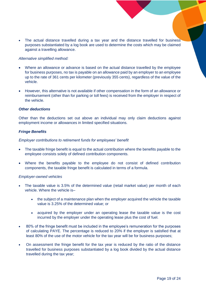The actual distance travelled during a tax year and the distance travelled for business purposes substantiated by a log book are used to determine the costs which may be claimed against a travelling allowance.

# *Alternative simplified method:*

- Where an allowance or advance is based on the actual distance travelled by the employee for business purposes, no tax is payable on an allowance paid by an employer to an employee up to the rate of 361 cents per kilometer (previously 355 cents), regardless of the value of the vehicle.
- However, this alternative is not available if other compensation in the form of an allowance or reimbursement (other than for parking or toll fees) is received from the employer in respect of the vehicle.

# *Other deductions*

Other than the deductions set out above an individual may only claim deductions against employment income or allowances in limited specified situations.

# *Fringe Benefits*

*Employer contributions to retirement funds for employees' benefit*

- The taxable fringe benefit is equal to the actual contribution where the benefits payable to the employee consists solely of defined contribution components.
- Where the benefits payable to the employee do not consist of defined contribution components, the taxable fringe benefit is calculated in terms of a formula.

## *Employer-owned vehicles*

- The taxable value is 3.5% of the determined value (retail market value) per month of each vehicle. Where the vehicle is–
	- the subject of a maintenance plan when the employer acquired the vehicle the taxable value is 3.25% of the determined value; or
	- acquired by the employer under an operating lease the taxable value is the cost incurred by the employer under the operating lease plus the cost of fuel.
- 80% of the fringe benefit must be included in the employee's remuneration for the purposes of calculating PAYE. The percentage is reduced to 20% if the employer is satisfied that at least 80% of the use of the motor vehicle for the tax year will be for business purposes;
- On assessment the fringe benefit for the tax year is reduced by the ratio of the distance travelled for business purposes substantiated by a log book divided by the actual distance travelled during the tax year;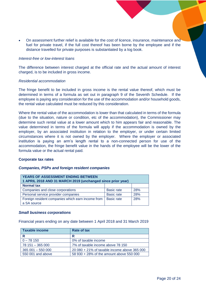On assessment further relief is available for the cost of licence, insurance, maintenance and fuel for private travel, if the full cost thereof has been borne by the employee and if the distance travelled for private purposes is substantiated by a log book.

# *Interest-free or low-interest loans*

The difference between interest charged at the official rate and the actual amount of interest charged, is to be included in gross income.

#### *Residential accommodation*

The fringe benefit to be included in gross income is the rental value thereof, which must be determined in terms of a formula as set out in paragraph 9 of the Seventh Schedule. If the employee is paying any consideration for the use of the accommodation and/or household goods, the rental value calculated must be reduced by this consideration.

Where the rental value of the accommodation is lower than that calculated in terms of the formula (due to the situation, nature or condition, etc of the accommodation), the Commissioner may determine such rental value at a lower amount which to him appears fair and reasonable. The value determined in terms of the formula will apply if the accommodation is owned by the employer, by an associated institution in relation to the employer, or under certain limited circumstances where it is not owned by the employer. Where the employer or associated institution is paying an arm's length rental to a non-connected person for use of the accommodation, the fringe benefit value in the hands of the employee will be the lower of the formula value or the actual rental paid.

## <span id="page-19-0"></span>**Corporate tax rates**

## <span id="page-19-1"></span>*Companies, PSPs and foreign resident companies*

| YEARS OF ASSESSMENT ENDING BETWEEN<br>1 APRIL 2018 AND 31 MARCH 2019 (unchanged since prior year) |                   |     |  |
|---------------------------------------------------------------------------------------------------|-------------------|-----|--|
| <b>Normal tax</b>                                                                                 |                   |     |  |
| Companies and close corporations                                                                  | <b>Basic rate</b> | 28% |  |
| Personal service provider companies                                                               | <b>Basic rate</b> | 28% |  |
| Foreign resident companies which earn income from<br>a SA source                                  | <b>Basic rate</b> | 28% |  |

## <span id="page-19-2"></span>*Small business corporations*

Financial years ending on any date between 1 April 2018 and 31 March 2019

| <b>Taxable income</b> | Rate of tax                                  |  |
|-----------------------|----------------------------------------------|--|
| R                     | R                                            |  |
| $0 - 78150$           | 0% of taxable income                         |  |
| 78 151 - 365 000      | 7% of taxable income above 78 150            |  |
| $365001 - 55000$      | 20 080 + 21% of taxable income above 365 000 |  |
| 550 001 and above     | 58 930 + 28% of the amount above 550 000     |  |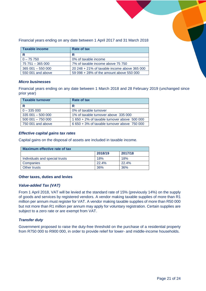

Financial years ending on any date between 1 April 2017 and 31 March 2018

| <b>Taxable income</b> | Rate of tax                                  |
|-----------------------|----------------------------------------------|
| R                     | R                                            |
| $0 - 75750$           | 0% of taxable income                         |
| 75 751 - 365 000      | 7% of taxable income above 75 750            |
| $365001 - 55000$      | 20 248 + 21% of taxable income above 365 000 |
| 550 001 and above     | 59 098 + 28% of the amount above 550 000     |

# <span id="page-20-0"></span>*Micro businesses*

Financial years ending on any date between 1 March 2018 and 28 February 2019 (unchanged since prior year)

| <b>Taxable turnover</b> | Rate of tax                                  |
|-------------------------|----------------------------------------------|
| R                       | R                                            |
| $0 - 335000$            | 0% of taxable turnover                       |
| $335001 - 500000$       | 1% of taxable turnover above 335 000         |
| $500001 - 75000$        | 1 650 + 2% of taxable turnover above 500 000 |
| 750 001 and above       | 6 650 + 3% of taxable turnover above 750 000 |

# <span id="page-20-1"></span>*Effective capital gains tax rates*

Capital gains on the disposal of assets are included in taxable income.

| <b>Maximum effective rate of tax</b> |         |         |
|--------------------------------------|---------|---------|
|                                      | 2018/19 | 2017/18 |
| Individuals and special trusts       | 18%     | 18%     |
| Companies                            | 22.4%   | 22.4%   |
| Other trusts                         | 36%     | 36%     |

## <span id="page-20-2"></span>**Other taxes, duties and levies**

## <span id="page-20-3"></span>*Value-added Tax (VAT)*

From 1 April 2018, VAT will be levied at the standard rate of 15% (previously 14%) on the supply of goods and services by registered vendors. A vendor making taxable supplies of more than R1 million per annum must register for VAT. A vendor making taxable supplies of more than R50 000 but not more than R1 million per annum may apply for voluntary registration. Certain supplies are subject to a zero rate or are exempt from VAT.

# <span id="page-20-4"></span>*Transfer duty*

Government proposed to raise the duty-free threshold on the purchase of a residential property from R750 000 to R900 000, in order to provide relief for lower- and middle-income households.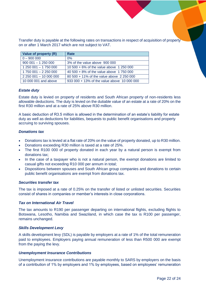Transfer duty is payable at the following rates on transactions in respect of acquisition of property on or after 1 March 2017 which are not subject to VAT.

| Value of property (R) | Rate                                            |
|-----------------------|-------------------------------------------------|
| $0 - 900000$          | $0\%$                                           |
| $900001 - 125000$     | 3% of the value above 900 000                   |
| 1 250 001 - 1 750 000 | 10 500 + 6% of the value above 1 250 000        |
| $1750001 - 2250000$   | 40 500 + 8% of the value above 1 750 000        |
| $2250001 - 10000000$  | 80 500 + 11% of the value above 2 250 000       |
| 10 000 001 and above  | $933\,000 + 13\%$ of the value above 10 000 000 |

# <span id="page-21-0"></span>*Estate duty*

Estate duty is levied on property of residents and South African property of non-residents less allowable deductions. The duty is levied on the dutiable value of an estate at a rate of 20% on the first R30 million and at a rate of 25% above R30 million.

A basic deduction of R3.5 million is allowed in the determination of an estate's liability for estate duty as well as deductions for liabilities, bequests to public benefit organisations and property accruing to surviving spouses.

# <span id="page-21-1"></span>*Donations tax*

- Donations tax is levied at a flat rate of 20% on the value of property donated, up to R30 million.
- Donations exceeding R30 million is taxed at a rate of 25%.
- The first R100 000 of property donated in each year by a natural person is exempt from donations tax;
- In the case of a taxpayer who is not a natural person, the exempt donations are limited to casual gifts not exceeding R10 000 per annum in total;
- Dispositions between spouses and South African group companies and donations to certain public benefit organisations are exempt from donations tax.

## <span id="page-21-2"></span>*Securities transfer tax*

The tax is imposed at a rate of 0.25% on the transfer of listed or unlisted securities. Securities consist of shares in companies or member's interests in close corporations.

## <span id="page-21-3"></span>*Tax on International Air Travel*

The tax amounts to R190 per passenger departing on international flights, excluding flights to Botswana, Lesotho, Namibia and Swaziland, in which case the tax is R100 per passenger, remains unchanged.

## <span id="page-21-4"></span>*Skills Development Levy*

A skills development levy (SDL) is payable by employers at a rate of 1% of the total remuneration paid to employees. Employers paying annual remuneration of less than R500 000 are exempt from the paying the levy.

## <span id="page-21-5"></span>*Unemployment Insurance Contributions*

Unemployment insurance contributions are payable monthly to SARS by employers on the basis of a contribution of 1% by employers and 1% by employees, based on employees' remuneration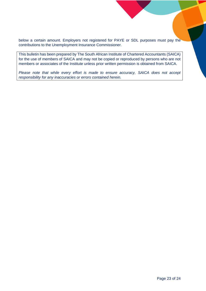below a certain amount. Employers not registered for PAYE or SDL purposes must pay the contributions to the Unemployment Insurance Commissioner.

This bulletin has been prepared by The South African Institute of Chartered Accountants (SAICA) for the use of members of SAICA and may not be copied or reproduced by persons who are not members or associates of the Institute unless prior written permission is obtained from SAICA.

*Please note that while every effort is made to ensure accuracy, SAICA does not accept responsibility for any inaccuracies or errors contained herein.*